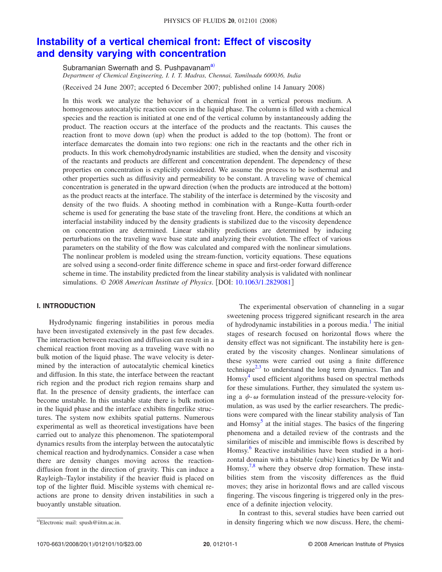# **Instability of a vertical chemical front: Effect of viscosity and density varying with concentration**

Subramanian Swernath and S. Pushpavanam<sup>a)</sup> *Department of Chemical Engineering, I. I. T. Madras, Chennai, Tamilnadu 600036, India*

Received 24 June 2007; accepted 6 December 2007; published online 14 January 2008-

In this work we analyze the behavior of a chemical front in a vertical porous medium. A homogeneous autocatalytic reaction occurs in the liquid phase. The column is filled with a chemical species and the reaction is initiated at one end of the vertical column by instantaneously adding the product. The reaction occurs at the interface of the products and the reactants. This causes the reaction front to move down (up) when the product is added to the top (bottom). The front or interface demarcates the domain into two regions: one rich in the reactants and the other rich in products. In this work chemohydrodynamic instabilities are studied, when the density and viscosity of the reactants and products are different and concentration dependent. The dependency of these properties on concentration is explicitly considered. We assume the process to be isothermal and other properties such as diffusivity and permeability to be constant. A traveling wave of chemical concentration is generated in the upward direction (when the products are introduced at the bottom) as the product reacts at the interface. The stability of the interface is determined by the viscosity and density of the two fluids. A shooting method in combination with a Runge–Kutta fourth-order scheme is used for generating the base state of the traveling front. Here, the conditions at which an interfacial instability induced by the density gradients is stabilized due to the viscosity dependence on concentration are determined. Linear stability predictions are determined by inducing perturbations on the traveling wave base state and analyzing their evolution. The effect of various parameters on the stability of the flow was calculated and compared with the nonlinear simulations. The nonlinear problem is modeled using the stream-function, vorticity equations. These equations are solved using a second-order finite difference scheme in space and first-order forward difference scheme in time. The instability predicted from the linear stability analysis is validated with nonlinear simulations. © 2008 American Institute of Physics. [DOI: 10.1063/1.2829081]

## **I. INTRODUCTION**

Hydrodynamic fingering instabilities in porous media have been investigated extensively in the past few decades. The interaction between reaction and diffusion can result in a chemical reaction front moving as a traveling wave with no bulk motion of the liquid phase. The wave velocity is determined by the interaction of autocatalytic chemical kinetics and diffusion. In this state, the interface between the reactant rich region and the product rich region remains sharp and flat. In the presence of density gradients, the interface can become unstable. In this unstable state there is bulk motion in the liquid phase and the interface exhibits fingerlike structures. The system now exhibits spatial patterns. Numerous experimental as well as theoretical investigations have been carried out to analyze this phenomenon. The spatiotemporal dynamics results from the interplay between the autocatalytic chemical reaction and hydrodynamics. Consider a case when there are density changes moving across the reactiondiffusion front in the direction of gravity. This can induce a Rayleigh–Taylor instability if the heavier fluid is placed on top of the lighter fluid. Miscible systems with chemical reactions are prone to density driven instabilities in such a buoyantly unstable situation.

The experimental observation of channeling in a sugar sweetening process triggered significant research in the area of hydrodynamic instabilities in a porous media.<sup>1</sup> The initial stages of research focused on horizontal flows where the density effect was not significant. The instability here is generated by the viscosity changes. Nonlinear simulations of these systems were carried out using a finite difference technique<sup>2,3</sup> to understand the long term dynamics. Tan and Homsy<sup>4</sup> used efficient algorithms based on spectral methods for these simulations. Further, they simulated the system using a  $\psi$ - $\omega$  formulation instead of the pressure-velocity formulation, as was used by the earlier researchers. The predictions were compared with the linear stability analysis of Tan and Homsy<sup>5</sup> at the initial stages. The basics of the fingering phenomena and a detailed review of the contrasts and the similarities of miscible and immiscible flows is described by Homsy.<sup>6</sup> Reactive instabilities have been studied in a horizontal domain with a bistable (cubic) kinetics by De Wit and Homsy,  $7.8$  where they observe drop formation. These instabilities stem from the viscosity differences as the fluid moves; they arise in horizontal flows and are called viscous fingering. The viscous fingering is triggered only in the presence of a definite injection velocity.

In contrast to this, several studies have been carried out in density fingering which we now discuss. Here, the chemi-

Electronic mail: spush@iitm.ac.in.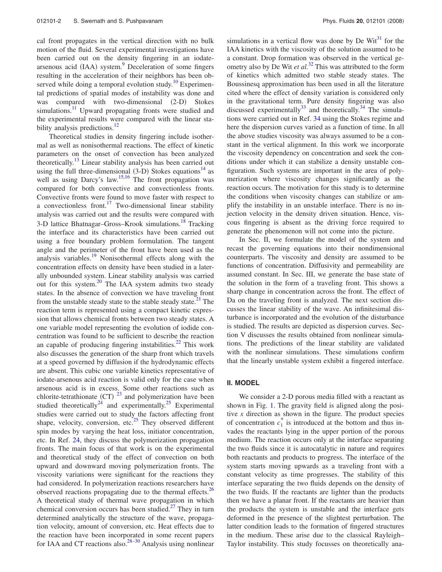cal front propagates in the vertical direction with no bulk motion of the fluid. Several experimental investigations have been carried out on the density fingering in an iodatearsenous acid (IAA) system.<sup>9</sup> Deceleration of some fingers resulting in the acceleration of their neighbors has been observed while doing a temporal evolution study.<sup>10</sup> Experimental predictions of spatial modes of instability was done and was compared with two-dimensional (2-D) Stokes simulations.<sup>11</sup> Upward propagating fronts were studied and the experimental results were compared with the linear stability analysis predictions.<sup>12</sup>

Theoretical studies in density fingering include isothermal as well as nonisothermal reactions. The effect of kinetic parameters on the onset of convection has been analyzed theoretically.<sup>13</sup> Linear stability analysis has been carried out using the full three-dimensional  $(3-D)$  Stokes equations<sup>14</sup> as well as using Darcy's law.<sup>15,16</sup> The front propagation was compared for both convective and convectionless fronts. Convective fronts were found to move faster with respect to a convectionless front.<sup>17</sup> Two-dimensional linear stability analysis was carried out and the results were compared with 3-D lattice Bhatnagar–Gross–Krook simulations.<sup>18</sup> Tracking the interface and its characteristics have been carried out using a free boundary problem formulation. The tangent angle and the perimeter of the front have been used as the analysis variables.<sup>19</sup> Nonisothermal effects along with the concentration effects on density have been studied in a laterally unbounded system. Linear stability analysis was carried out for this system.<sup>20</sup> The IAA system admits two steady states. In the absence of convection we have traveling front from the unstable steady state to the stable steady state. $^{21}$  The reaction term is represented using a compact kinetic expression that allows chemical fronts between two steady states. A one variable model representing the evolution of iodide concentration was found to be sufficient to describe the reaction an capable of producing fingering instabilities. $^{22}$  This work also discusses the generation of the sharp front which travels at a speed governed by diffusion if the hydrodynamic effects are absent. This cubic one variable kinetics representative of iodate-arsenous acid reaction is valid only for the case when arsenous acid is in excess. Some other reactions such as chlorite-tetrathionate  $(CT)^{23}$  and polymerization have been studied theoretically<sup>24</sup> and experimentally.<sup>25</sup> Experimental studies were carried out to study the factors affecting front shape, velocity, conversion, etc.<sup>25</sup> They observed different spin modes by varying the heat loss, initiator concentration, etc. In Ref. 24, they discuss the polymerization propagation fronts. The main focus of that work is on the experimental and theoretical study of the effect of convection on both upward and downward moving polymerization fronts. The viscosity variations were significant for the reactions they had considered. In polymerization reactions researchers have observed reactions propagating due to the thermal effects.<sup>26</sup> A theoretical study of thermal wave propagation in which chemical conversion occurs has been studied. $27$  They in turn determined analytically the structure of the wave, propagation velocity, amount of conversion, etc. Heat effects due to the reaction have been incorporated in some recent papers for IAA and CT reactions also.<sup>28–30</sup> Analysis using nonlinear

simulations in a vertical flow was done by De Wit $^{31}$  for the IAA kinetics with the viscosity of the solution assumed to be a constant. Drop formation was observed in the vertical geometry also by De Wit *et al.*<sup>32</sup> This was attributed to the form of kinetics which admitted two stable steady states. The Boussinesq approximation has been used in all the literature cited where the effect of density variation is considered only in the gravitational term. Pure density fingering was also discussed experimentally<sup>33</sup> and theoretically.<sup>34</sup> The simulations were carried out in Ref. 34 using the Stokes regime and here the dispersion curves varied as a function of time. In all the above studies viscosity was always assumed to be a constant in the vertical alignment. In this work we incorporate the viscosity dependency on concentration and seek the conditions under which it can stabilize a density unstable configuration. Such systems are important in the area of polymerization where viscosity changes significantly as the reaction occurs. The motivation for this study is to determine the conditions when viscosity changes can stabilize or amplify the instability in an unstable interface. There is no injection velocity in the density driven situation. Hence, viscous fingering is absent as the driving force required to generate the phenomenon will not come into the picture.

In Sec. II, we formulate the model of the system and recast the governing equations into their nondimensional counterparts. The viscosity and density are assumed to be functions of concentration. Diffusivity and permeability are assumed constant. In Sec. III, we generate the base state of the solution in the form of a traveling front. This shows a sharp change in concentration across the front. The effect of Da on the traveling front is analyzed. The next section discusses the linear stability of the wave. An infinitesimal disturbance is incorporated and the evolution of the disturbance is studied. The results are depicted as dispersion curves. Section V discusses the results obtained from nonlinear simulations. The predictions of the linear stability are validated with the nonlinear simulations. These simulations confirm that the linearly unstable system exhibit a fingered interface.

### **II. MODEL**

We consider a 2-D porous media filled with a reactant as shown in Fig. 1. The gravity field is aligned along the positive *x* direction as shown in the figure. The product species of concentration  $c_1^*$  is introduced at the bottom and thus invades the reactants lying in the upper portion of the porous medium. The reaction occurs only at the interface separating the two fluids since it is autocatalytic in nature and requires both reactants and products to progress. The interface of the system starts moving upwards as a traveling front with a constant velocity as time progresses. The stability of this interface separating the two fluids depends on the density of the two fluids. If the reactants are lighter than the products then we have a planar front. If the reactants are heavier than the products the system is unstable and the interface gets deformed in the presence of the slightest perturbation. The latter condition leads to the formation of fingered structures in the medium. These arise due to the classical Rayleigh– Taylor instability. This study focusses on theoretically ana-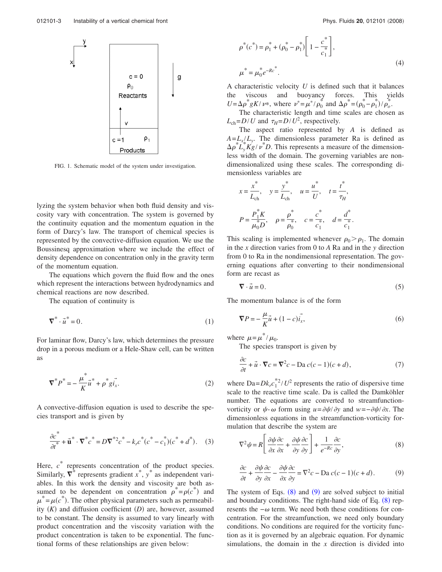

FIG. 1. Schematic model of the system under investigation.

lyzing the system behavior when both fluid density and viscosity vary with concentration. The system is governed by the continuity equation and the momentum equation in the form of Darcy's law. The transport of chemical species is represented by the convective-diffusion equation. We use the Boussinesq approximation where we include the effect of density dependence on concentration only in the gravity term of the momentum equation.

The equations which govern the fluid flow and the ones which represent the interactions between hydrodynamics and chemical reactions are now described.

The equation of continuity is

$$
\nabla^* \cdot \vec{u}^* = 0. \tag{1}
$$

For laminar flow, Darcy's law, which determines the pressure drop in a porous medium or a Hele-Shaw cell, can be written as

$$
\nabla^* P^* = -\frac{\mu^*}{K} \vec{u}^* + \rho^* g \vec{i_x}.
$$
 (2)

A convective-diffusion equation is used to describe the species transport and is given by

$$
\frac{\partial c^*}{\partial t^*} + \mathbf{\vec{u}}^* \cdot \nabla^* c^* = D \nabla^* c^* - k_r c^* (c^* - c_1^*)(c^* + d^*).
$$
 (3)

Here,  $c^*$  represents concentration of the product species. Similarly,  $\nabla^*$  represents gradient  $x^*$ ,  $y^*$  as independent variables. In this work the density and viscosity are both assumed to be dependent on concentration  $\rho^* = \rho(c^*)$  and  $\mu^* = \mu(c^*)$ . The other physical parameters such as permeability  $(K)$  and diffusion coefficient  $(D)$  are, however, assumed to be constant. The density is assumed to vary linearly with product concentration and the viscosity variation with the product concentration is taken to be exponential. The functional forms of these relationships are given below:

$$
\rho^*(c^*) = \rho_1^* + (\rho_0^* - \rho_1^*) \left[ 1 - \frac{c^*}{c_1^*} \right],
$$
  

$$
\mu^* = \mu_0^* e^{-Rc^*}.
$$
 (4)

A characteristic velocity *U* is defined such that it balances the viscous and buoyancy forces. This yields  $U = \Delta \rho^* g K / \nu^*$ , where  $\nu^* = \mu^* / \rho_0^*$  and  $\Delta \rho^* = (\rho_0^* - \rho_1^*) / \rho_0^*$ .

The characteristic length and time scales are chosen as  $L_{ch} = D/U$  and  $\tau_H = D/U^2$ , respectively.

The aspect ratio represented by *A* is defined as  $A = L_x/L_y$ . The dimensionless parameter Ra is defined as  $\Delta \rho^* \hat{L}_y^* K_g / \nu^* D$ . This represents a measure of the dimensionless width of the domain. The governing variables are nondimensionalized using these scales. The corresponding dimensionless variables are

$$
x = \frac{x^*}{L_{ch}}, \quad y = \frac{y^*}{L_{ch}}, \quad u = \frac{u^*}{U}, \quad t = \frac{t^*}{\tau_H},
$$

$$
P = \frac{P_1^* K}{\mu_0^* D}, \quad \rho = \frac{\rho^*}{\rho_0^*}, \quad c = \frac{c^*}{c_1^*}, \quad d = \frac{d^*}{c_1^*}
$$

This scaling is implemented whenever  $\rho_0 > \rho_1$ . The domain in the *x* direction varies from 0 to *A* Ra and in the *y* direction from 0 to Ra in the nondimensional representation. The governing equations after converting to their nondimensional form are recast as

$$
\nabla \cdot \vec{u} = 0. \tag{5}
$$

.

The momentum balance is of the form

$$
\nabla P = -\frac{\mu}{K}\vec{u} + (1-c)\vec{i_x},\tag{6}
$$

where  $\mu = \mu^* / \mu_0$ .

The species transport is given by

$$
\frac{\partial c}{\partial t} + \vec{u} \cdot \nabla c = \nabla^2 c - \text{Da } c(c - 1)(c + d),\tag{7}
$$

where  $Da = Dk_r c_1^{*2} / U^2$  represents the ratio of dispersive time scale to the reactive time scale. Da is called the Damköhler number. The equations are converted to streamfunctionvorticity or  $\psi$ - $\omega$  form using  $u = \frac{\partial \psi}{\partial y}$  and  $w = -\frac{\partial \psi}{\partial x}$ . The dimensionless equations in the streamfunction-vorticity formulation that describe the system are

$$
\nabla^2 \psi = R \left[ \frac{\partial \psi}{\partial x} \frac{\partial c}{\partial x} + \frac{\partial \psi}{\partial y} \frac{\partial c}{\partial y} \right] + \frac{1}{e^{-Rc}} \frac{\partial c}{\partial y},\tag{8}
$$

$$
\frac{\partial c}{\partial t} + \frac{\partial \psi}{\partial y} \frac{\partial c}{\partial x} - \frac{\partial \psi}{\partial x} \frac{\partial c}{\partial y} = \nabla^2 c - \text{Da } c(c - 1)(c + d). \tag{9}
$$

The system of Eqs.  $(8)$  and  $(9)$  are solved subject to initial and boundary conditions. The right-hand side of Eq.  $(8)$  represents the  $-\omega$  term. We need both these conditions for concentration. For the streamfunction, we need only boundary conditions. No conditions are required for the vorticity function as it is governed by an algebraic equation. For dynamic simulations, the domain in the *x* direction is divided into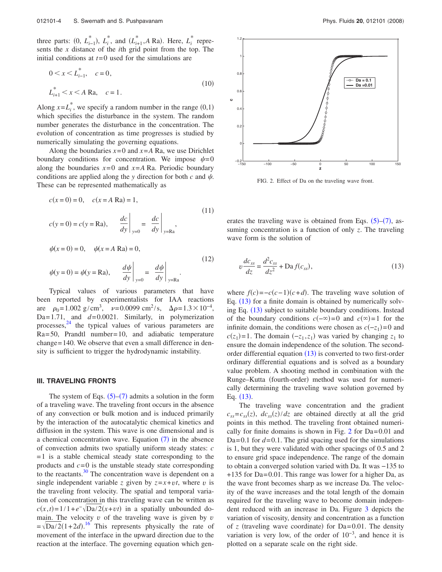three parts:  $(0, L_{i-1}^*), L_i^*$ , and  $(L_{i+1}^*, A \text{ Ra})$ . Here,  $L_i^*$  represents the *x* distance of the *i*th grid point from the top. The initial conditions at *t*=0 used for the simulations are

$$
0 < x < L_{i-1}^*, \quad c = 0,
$$
\n
$$
L_{i+1}^* < x < A \text{ Ra}, \quad c = 1.
$$
\n
$$
(10)
$$

Along  $x = L_i^*$ , we specify a random number in the range  $(0,1)$ which specifies the disturbance in the system. The random number generates the disturbance in the concentration. The evolution of concentration as time progresses is studied by numerically simulating the governing equations.

Along the boundaries  $x=0$  and  $x=A$  Ra, we use Dirichlet boundary conditions for concentration. We impose  $\psi=0$ along the boundaries  $x=0$  and  $x=A$  Ra. Periodic boundary conditions are applied along the *y* direction for both  $c$  and  $\psi$ . These can be represented mathematically as

$$
c(x = 0) = 0, \quad c(x = A \text{ Ra}) = 1,
$$
  
\n
$$
c(y = 0) = c(y = \text{Ra}), \quad \frac{dc}{dy}\Big|_{y=0} = \frac{dc}{dy}\Big|_{y=\text{Ra}},
$$
\n(11)

$$
\psi(x=0) = 0, \quad \psi(x=A \text{ Ra}) = 0,
$$
  
\n
$$
\psi(y=0) = \psi(y=\text{Ra}), \quad \frac{d\psi}{dy}\Big|_{y=0} = \frac{d\psi}{dy}\Big|_{y=\text{Ra}}.
$$
\n(12)

Typical values of various parameters that have been reported by experimentalists for IAA reactions are  $\rho_0 = 1.002 \text{ g/cm}^3$ ,  $\nu = 0.0099 \text{ cm}^2/\text{s}$ ,  $\Delta \rho = 1.3 \times 10^{-4}$ , Da=1.71, and *d*=0.0021. Similarly, in polymerization processes,<sup>24</sup> the typical values of various parameters are Ra=50, Prandtl number=10, and adiabatic temperature change=140. We observe that even a small difference in density is sufficient to trigger the hydrodynamic instability.

#### **III. TRAVELING FRONTS**

The system of Eqs.  $(5)-(7)$  admits a solution in the form of a traveling wave. The traveling front occurs in the absence of any convection or bulk motion and is induced primarily by the interaction of the autocatalytic chemical kinetics and diffusion in the system. This wave is one dimensional and is a chemical concentration wave. Equation  $(7)$  in the absence of convection admits two spatially uniform steady states: *c* =1 is a stable chemical steady state corresponding to the products and  $c=0$  is the unstable steady state corresponding to the reactants. $30$  The concentration wave is dependent on a single independent variable *z* given by  $z = x + vt$ , where *v* is the traveling front velocity. The spatial and temporal variation of concentration in this traveling wave can be written as  $c(x,t) = 1/1 + e^{-\sqrt{\frac{Da}{2}(x + vt)}$  in a spatially unbounded domain. The velocity *v* of the traveling wave is given by *v*  $=\sqrt{\text{Da}/2}(1+2d)$ <sup>16</sup> This represents physically the rate of movement of the interface in the upward direction due to the reaction at the interface. The governing equation which gen-



FIG. 2. Effect of Da on the traveling wave front.

erates the traveling wave is obtained from Eqs.  $(5)-(7)$ , assuming concentration is a function of only *z*. The traveling wave form is the solution of

$$
v\frac{dc_{ss}}{dz} = \frac{d^2c_{ss}}{dz^2} + \text{Da }f(c_{ss}),\tag{13}
$$

where  $f(c) = -c(c-1)(c+d)$ . The traveling wave solution of Eq.  $(13)$  for a finite domain is obtained by numerically solving Eq. (13) subject to suitable boundary conditions. Instead of the boundary conditions  $c(-\infty)=0$  and  $c(\infty)=1$  for the infinite domain, the conditions were chosen as  $c(-z_1)=0$  and  $c(z_1) = 1$ . The domain  $(-z_1, z_1)$  was varied by changing  $z_1$  to ensure the domain independence of the solution. The secondorder differential equation (13) is converted to two first-order ordinary differential equations and is solved as a boundary value problem. A shooting method in combination with the Runge–Kutta (fourth-order) method was used for numerically determining the traveling wave solution governed by Eq.  $(13)$ .

The traveling wave concentration and the gradient  $c_{ss} = c_{ss}(z)$ ,  $dc_{ss}(z)/dz$  are obtained directly at all the grid points in this method. The traveling front obtained numerically for finite domains is shown in Fig. 2 for  $Da = 0.01$  and Da=0.1 for  $d=0.1$ . The grid spacing used for the simulations is 1, but they were validated with other spacings of 0.5 and 2 to ensure grid space independence. The range of the domain to obtain a converged solution varied with Da. It was −135 to +135 for Da=0.01. This range was lower for a higher Da, as the wave front becomes sharp as we increase Da. The velocity of the wave increases and the total length of the domain required for the traveling wave to become domain independent reduced with an increase in Da. Figure 3 depicts the variation of viscosity, density and concentration as a function of  $z$  (traveling wave coordinate) for  $Da = 0.01$ . The density variation is very low, of the order of  $10^{-3}$ , and hence it is plotted on a separate scale on the right side.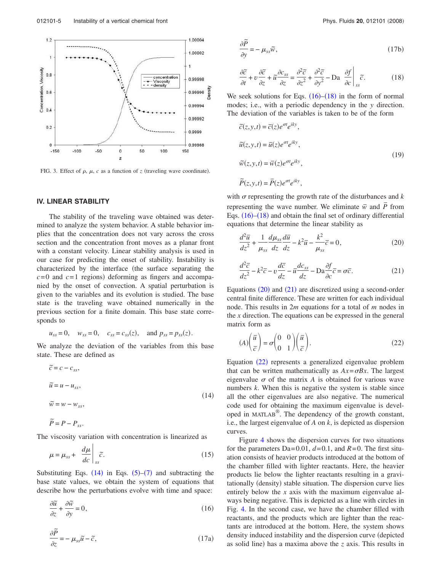

FIG. 3. Effect of  $\rho$ ,  $\mu$ ,  $c$  as a function of  $z$  (traveling wave coordinate).

#### **IV. LINEAR STABILITY**

The stability of the traveling wave obtained was determined to analyze the system behavior. A stable behavior implies that the concentration does not vary across the cross section and the concentration front moves as a planar front with a constant velocity. Linear stability analysis is used in our case for predicting the onset of stability. Instability is characterized by the interface (the surface separating the  $c=0$  and  $c=1$  regions) deforming as fingers and accompanied by the onset of convection. A spatial perturbation is given to the variables and its evolution is studied. The base state is the traveling wave obtained numerically in the previous section for a finite domain. This base state corresponds to

$$
u_{ss} = 0
$$
,  $w_{ss} = 0$ ,  $c_{ss} = c_{ss}(z)$ , and  $p_{ss} = p_{ss}(z)$ .

We analyze the deviation of the variables from this base state. These are defined as

$$
\widetilde{c} = c - c_{ss},
$$
  
\n
$$
\widetilde{u} = u - u_{ss},
$$
  
\n
$$
\widetilde{w} = w - w_{ss},
$$
\n(14)

$$
\widetilde{P} = P - P_{ss}.
$$

The viscosity variation with concentration is linearized as

$$
\mu = \mu_{ss} + \left. \frac{d\mu}{dc} \right|_{ss} \tilde{c}.
$$
 (15)

Substituting Eqs.  $(14)$  in Eqs.  $(5)-(7)$  and subtracting the base state values, we obtain the system of equations that describe how the perturbations evolve with time and space:

$$
\frac{\partial \widetilde{u}}{\partial z} + \frac{\partial \widetilde{w}}{\partial y} = 0,\tag{16}
$$

$$
\frac{\partial \widetilde{P}}{\partial z} = -\mu_{ss}\widetilde{u} - \widetilde{c},\tag{17a}
$$

$$
\frac{\partial \widetilde{P}}{\partial y} = -\mu_{ss}\widetilde{w},\tag{17b}
$$

$$
\frac{\partial \widetilde{c}}{\partial t} + v \frac{\partial \widetilde{c}}{\partial z} + \widetilde{u} \frac{\partial c_{ss}}{\partial z} = \frac{\partial^2 \widetilde{c}}{\partial z^2} + \frac{\partial^2 \widetilde{c}}{\partial y^2} - \text{Da} \left. \frac{\partial f}{\partial c} \right|_{ss} \widetilde{c}.
$$
 (18)

We seek solutions for Eqs.  $(16)$ – $(18)$  in the form of normal modes; i.e., with a periodic dependency in the *y* direction. The deviation of the variables is taken to be of the form

$$
\begin{aligned}\n\tilde{c}(z, y, t) &= \overline{c}(z)e^{\sigma t}e^{iky}, \\
\tilde{u}(z, y, t) &= \overline{u}(z)e^{\sigma t}e^{iky}, \\
\tilde{w}(z, y, t) &= \overline{w}(z)e^{\sigma t}e^{iky}, \\
\tilde{P}(z, y, t) &= \overline{P}(z)e^{\sigma t}e^{iky},\n\end{aligned}
$$
\n(19)

with  $\sigma$  representing the growth rate of the disturbances and  $k$ representing the wave number. We eliminate  $\overline{w}$  and  $\overline{P}$  from Eqs.  $(16)$ – $(18)$  and obtain the final set of ordinary differential equations that determine the linear stability as

$$
\frac{d^2\overline{u}}{dz^2} + \frac{1}{\mu_{ss}} \frac{d\mu_{ss}}{dz} \frac{d\overline{u}}{dz} - k^2 \overline{u} - \frac{k^2}{\mu_{ss}} \overline{c} = 0, \qquad (20)
$$

$$
\frac{d^2\overline{c}}{dz^2} - k^2\overline{c} - v\frac{d\overline{c}}{dz} - \overline{u}\frac{dc_{ss}}{dz} - Da\frac{\partial f}{\partial c}\overline{c} = \sigma\overline{c}.
$$
 (21)

Equations  $(20)$  and  $(21)$  are discretized using a second-order central finite difference. These are written for each individual node. This results in 2*m* equations for a total of *m* nodes in the *x* direction. The equations can be expressed in the general matrix form as

$$
(A)\left(\frac{\overline{u}}{c}\right) = \sigma \left(\begin{array}{cc} 0 & 0\\ 0 & 1 \end{array}\right) \left(\frac{\overline{u}}{c}\right). \tag{22}
$$

Equation (22) represents a generalized eigenvalue problem that can be written mathematically as  $Ax = \sigma Bx$ . The largest eigenvalue  $\sigma$  of the matrix  $A$  is obtained for various wave numbers *k*. When this is negative the system is stable since all the other eigenvalues are also negative. The numerical code used for obtaining the maximum eigenvalue is developed in MATLAB® . The dependency of the growth constant, i.e., the largest eigenvalue of *A* on *k*, is depicted as dispersion curves.

Figure 4 shows the dispersion curves for two situations for the parameters Da=0.01,  $d=0.1$ , and  $R=0$ . The first situation consists of heavier products introduced at the bottom of the chamber filled with lighter reactants. Here, the heavier products lie below the lighter reactants resulting in a gravitationally (density) stable situation. The dispersion curve lies entirely below the *x* axis with the maximum eigenvalue always being negative. This is depicted as a line with circles in Fig. 4. In the second case, we have the chamber filled with reactants, and the products which are lighter than the reactants are introduced at the bottom. Here, the system shows density induced instability and the dispersion curve (depicted as solid line) has a maxima above the *z* axis. This results in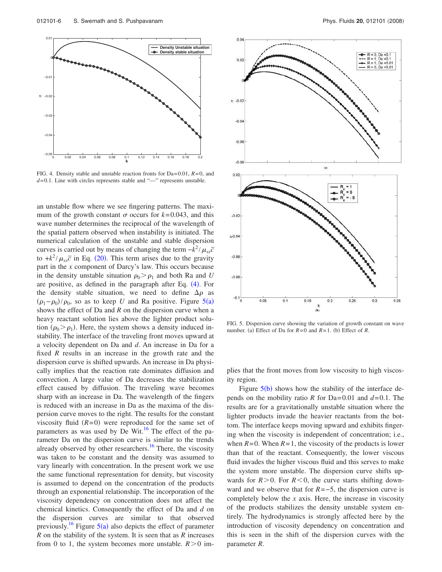

FIG. 4. Density stable and unstable reaction fronts for Da=0.01, *R*=0, and *d*=0.1. Line with circles represents stable and "—" represents unstable.

an unstable flow where we see fingering patterns. The maximum of the growth constant  $\sigma$  occurs for  $k=0.043$ , and this wave number determines the reciprocal of the wavelength of the spatial pattern observed when instability is initiated. The numerical calculation of the unstable and stable dispersion curves is carried out by means of changing the term  $-k^2/\mu_{ss}\bar{c}$ to  $+k^2/\mu_{ss}\bar{c}$  in Eq. (20). This term arises due to the gravity part in the *x* component of Darcy's law. This occurs because in the density unstable situation  $\rho_0 > \rho_1$  and both Ra and *U* are positive, as defined in the paragraph after Eq. (4). For the density stable situation, we need to define  $\Delta \rho$  as  $(\rho_1-\rho_0)/\rho_0$ , so as to keep *U* and Ra positive. Figure 5(a) shows the effect of Da and *R* on the dispersion curve when a heavy reactant solution lies above the lighter product solution  $(\rho_0 > \rho_1)$ . Here, the system shows a density induced instability. The interface of the traveling front moves upward at a velocity dependent on Da and *d*. An increase in Da for a fixed *R* results in an increase in the growth rate and the dispersion curve is shifted upwards. An increase in Da physically implies that the reaction rate dominates diffusion and convection. A large value of Da decreases the stabilization effect caused by diffusion. The traveling wave becomes sharp with an increase in Da. The wavelength of the fingers is reduced with an increase in Da as the maxima of the dispersion curve moves to the right. The results for the constant viscosity fluid  $(R=0)$  were reproduced for the same set of parameters as was used by De Wit. $16$  The effect of the parameter Da on the dispersion curve is similar to the trends already observed by other researchers.<sup>16</sup> There, the viscosity was taken to be constant and the density was assumed to vary linearly with concentration. In the present work we use the same functional representation for density, but viscosity is assumed to depend on the concentration of the products through an exponential relationship. The incorporation of the viscosity dependency on concentration does not affect the chemical kinetics. Consequently the effect of Da and *d* on the dispersion curves are similar to that observed previously.<sup>16</sup> Figure  $5(a)$  also depicts the effect of parameter *R* on the stability of the system. It is seen that as *R* increases from 0 to 1, the system becomes more unstable.  $R>0$  im-



FIG. 5. Dispersion curve showing the variation of growth constant on wave number. (a) Effect of Da for  $R=0$  and  $R=1$ . (b) Effect of  $R$ .

plies that the front moves from low viscosity to high viscosity region.

Figure  $5(b)$  shows how the stability of the interface depends on the mobility ratio *R* for Da=0.01 and *d*=0.1. The results are for a gravitationally unstable situation where the lighter products invade the heavier reactants from the bottom. The interface keeps moving upward and exhibits fingering when the viscosity is independent of concentration; i.e., when  $R=0$ . When  $R=1$ , the viscosity of the products is lower than that of the reactant. Consequently, the lower viscous fluid invades the higher viscous fluid and this serves to make the system more unstable. The dispersion curve shifts upwards for  $R > 0$ . For  $R < 0$ , the curve starts shifting downward and we observe that for *R*=−5, the dispersion curve is completely below the *x* axis. Here, the increase in viscosity of the products stabilizes the density unstable system entirely. The hydrodynamics is strongly affected here by the introduction of viscosity dependency on concentration and this is seen in the shift of the dispersion curves with the parameter *R*.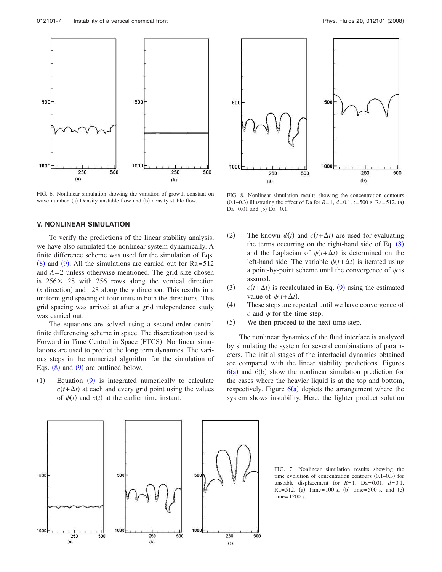

FIG. 6. Nonlinear simulation showing the variation of growth constant on wave number. (a) Density unstable flow and (b) density stable flow.

#### **V. NONLINEAR SIMULATION**

To verify the predictions of the linear stability analysis, we have also simulated the nonlinear system dynamically. A finite difference scheme was used for the simulation of Eqs.  $(8)$  and  $(9)$ . All the simulations are carried out for Ra=512 and *A*=2 unless otherwise mentioned. The grid size chosen is  $256 \times 128$  with 256 rows along the vertical direction  $(x$  direction) and 128 along the  $y$  direction. This results in a uniform grid spacing of four units in both the directions. This grid spacing was arrived at after a grid independence study was carried out.

The equations are solved using a second-order central finite differencing scheme in space. The discretization used is Forward in Time Central in Space (FTCS). Nonlinear simulations are used to predict the long term dynamics. The various steps in the numerical algorithm for the simulation of Eqs.  $(8)$  and  $(9)$  are outlined below.

 $(1)$ Equation  $(9)$  is integrated numerically to calculate  $c(t+\Delta t)$  at each and every grid point using the values of  $\psi(t)$  and  $c(t)$  at the earlier time instant.





FIG. 8. Nonlinear simulation results showing the concentration contours  $(0.1-0.3)$  illustrating the effect of Da for  $R=1$ ,  $d=0.1$ ,  $t=500$  s, Ra=512. (a)  $Da = 0.01$  and (b)  $Da = 0.1$ .

- $(2)$ The known  $\psi(t)$  and  $c(t+\Delta t)$  are used for evaluating the terms occurring on the right-hand side of Eq.  $(8)$ and the Laplacian of  $\psi(t+\Delta t)$  is determined on the left-hand side. The variable  $\psi(t+\Delta t)$  is iterated using a point-by-point scheme until the convergence of  $\psi$  is assured.
- $(3)$  $c(t+\Delta t)$  is recalculated in Eq. (9) using the estimated value of  $\psi(t+\Delta t)$ .
- $(4)$  These steps are repeated until we have convergence of *c* and  $\psi$  for the time step.
- $(5)$ We then proceed to the next time step.

The nonlinear dynamics of the fluid interface is analyzed by simulating the system for several combinations of parameters. The initial stages of the interfacial dynamics obtained are compared with the linear stability predictions. Figures  $6(a)$  and  $6(b)$  show the nonlinear simulation prediction for the cases where the heavier liquid is at the top and bottom, respectively. Figure  $6(a)$  depicts the arrangement where the system shows instability. Here, the lighter product solution



FIG. 7. Nonlinear simulation results showing the time evolution of concentration contours  $(0.1-0.3)$  for unstable displacement for  $R=1$ ,  $Da=0.01$ ,  $d=0.1$ ,  $Ra = 512$ . (a) Time=100 s, (b) time=500 s, and (c)  $time=1200$  s.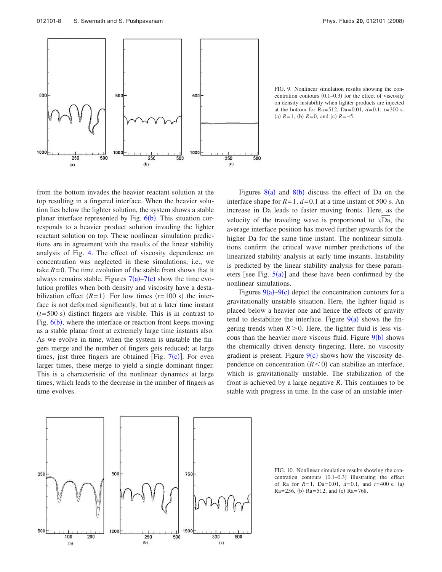

FIG. 9. Nonlinear simulation results showing the concentration contours  $(0.1-0.3)$  for the effect of viscosity on density instability when lighter products are injected at the bottom for Ra=512, Da=0.01, *d*=0.1, *t*=300 s. (a)  $R=1$ , (b)  $R=0$ , and (c)  $R=-5$ .

from the bottom invades the heavier reactant solution at the top resulting in a fingered interface. When the heavier solution lies below the lighter solution, the system shows a stable planar interface represented by Fig. 6(b). This situation corresponds to a heavier product solution invading the lighter reactant solution on top. These nonlinear simulation predictions are in agreement with the results of the linear stability analysis of Fig. 4. The effect of viscosity dependence on concentration was neglected in these simulations; i.e., we take  $R=0$ . The time evolution of the stable front shows that it always remains stable. Figures  $7(a)$ – $7(c)$  show the time evolution profiles when both density and viscosity have a destabilization effect  $(R=1)$ . For low times  $(t=100 \text{ s})$  the interface is not deformed significantly, but at a later time instant  $(t=500 \text{ s})$  distinct fingers are visible. This is in contrast to Fig.  $6(b)$ , where the interface or reaction front keeps moving as a stable planar front at extremely large time instants also. As we evolve in time, when the system is unstable the fingers merge and the number of fingers gets reduced; at large times, just three fingers are obtained [Fig.  $7(c)$ ]. For even larger times, these merge to yield a single dominant finger. This is a characteristic of the nonlinear dynamics at large times, which leads to the decrease in the number of fingers as time evolves.

Figures  $8(a)$  and  $8(b)$  discuss the effect of Da on the interface shape for  $R=1$ ,  $d=0.1$  at a time instant of 500 s. An increase in Da leads to faster moving fronts. Here, as the velocity of the traveling wave is proportional to  $\sqrt{Da}$ , the average interface position has moved further upwards for the higher Da for the same time instant. The nonlinear simulations confirm the critical wave number predictions of the linearized stability analysis at early time instants. Instability is predicted by the linear stability analysis for these parameters [see Fig.  $5(a)$ ] and these have been confirmed by the nonlinear simulations.

Figures  $9(a) - 9(c)$  depict the concentration contours for a gravitationally unstable situation. Here, the lighter liquid is placed below a heavier one and hence the effects of gravity tend to destabilize the interface. Figure  $9(a)$  shows the fingering trends when  $R > 0$ . Here, the lighter fluid is less viscous than the heavier more viscous fluid. Figure  $9(b)$  shows the chemically driven density fingering. Here, no viscosity gradient is present. Figure  $9(c)$  shows how the viscosity dependence on concentration  $(R<0)$  can stabilize an interface, which is gravitationally unstable. The stabilization of the front is achieved by a large negative *R*. This continues to be stable with progress in time. In the case of an unstable inter-



FIG. 10. Nonlinear simulation results showing the concentration contours  $(0.1-0.3)$  illustrating the effect of Ra for  $R=1$ , Da=0.01,  $d=0.1$ , and  $t=400$  s. (a)  $Ra = 256$ , (b)  $Ra = 512$ , and (c)  $Ra = 768$ .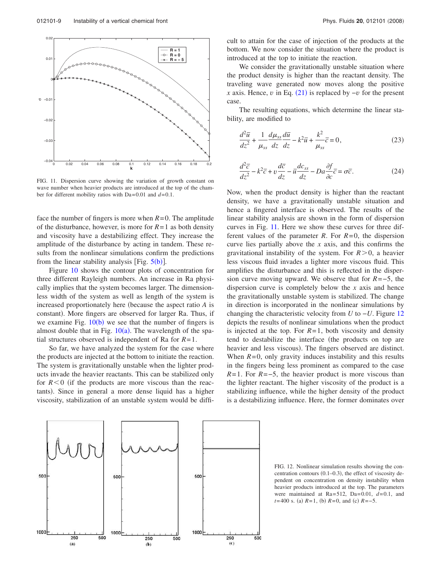

FIG. 11. Dispersion curve showing the variation of growth constant on wave number when heavier products are introduced at the top of the chamber for different mobility ratios with Da=0.01 and *d*=0.1.

face the number of fingers is more when *R*=0. The amplitude of the disturbance, however, is more for  $R=1$  as both density and viscosity have a destabilizing effect. They increase the amplitude of the disturbance by acting in tandem. These results from the nonlinear simulations confirm the predictions from the linear stability analysis [Fig.  $5(b)$ ].

Figure 10 shows the contour plots of concentration for three different Rayleigh numbers. An increase in Ra physically implies that the system becomes larger. The dimensionless width of the system as well as length of the system is increased proportionately here (because the aspect ratio *A* is constant). More fingers are observed for larger Ra. Thus, if we examine Fig.  $10(b)$  we see that the number of fingers is almost double that in Fig.  $10(a)$ . The wavelength of the spatial structures observed is independent of Ra for *R*=1.

So far, we have analyzed the system for the case where the products are injected at the bottom to initiate the reaction. The system is gravitationally unstable when the lighter products invade the heavier reactants. This can be stabilized only for  $R \le 0$  (if the products are more viscous than the reactants). Since in general a more dense liquid has a higher viscosity, stabilization of an unstable system would be difficult to attain for the case of injection of the products at the bottom. We now consider the situation where the product is introduced at the top to initiate the reaction.

We consider the gravitationally unstable situation where the product density is higher than the reactant density. The traveling wave generated now moves along the positive *x* axis. Hence, *v* in Eq. (21) is replaced by  $-v$  for the present case.

The resulting equations, which determine the linear stability, are modified to

$$
\frac{d^2\overline{u}}{dz^2} + \frac{1}{\mu_{ss}} \frac{d\mu_{ss}}{dz} \frac{d\overline{u}}{dz} - k^2 \overline{u} + \frac{k^2}{\mu_{ss}} \overline{c} = 0, \qquad (23)
$$

$$
\frac{d^2\overline{c}}{dz^2} - k^2\overline{c} + v\frac{d\overline{c}}{dz} - \overline{u}\frac{dc_{ss}}{dz} - Da\frac{\partial f}{\partial c}\overline{c} = \sigma\overline{c}.
$$
 (24)

Now, when the product density is higher than the reactant density, we have a gravitationally unstable situation and hence a fingered interface is observed. The results of the linear stability analysis are shown in the form of dispersion curves in Fig. 11. Here we show these curves for three different values of the parameter *R*. For *R*=0, the dispersion curve lies partially above the *x* axis, and this confirms the gravitational instability of the system. For  $R>0$ , a heavier less viscous fluid invades a lighter more viscous fluid. This amplifies the disturbance and this is reflected in the dispersion curve moving upward. We observe that for *R*=−5, the dispersion curve is completely below the *x* axis and hence the gravitationally unstable system is stabilized. The change in direction is incorporated in the nonlinear simulations by changing the characteristic velocity from *U* to −*U*. Figure 12 depicts the results of nonlinear simulations when the product is injected at the top. For  $R=1$ , both viscosity and density tend to destabilize the interface (the products on top are heavier and less viscous). The fingers observed are distinct. When  $R=0$ , only gravity induces instability and this results in the fingers being less prominent as compared to the case *R*=1. For *R*=−5, the heavier product is more viscous than the lighter reactant. The higher viscosity of the product is a stabilizing influence, while the higher density of the product is a destabilizing influence. Here, the former dominates over

500 500 500 1000 1000 1000 250 500 250 500 250 500  $(a)$  $\mathbf{b}$ 

FIG. 12. Nonlinear simulation results showing the concentration contours  $(0.1-0.3)$ , the effect of viscosity dependent on concentration on density instability when heavier products introduced at the top. The parameters were maintained at Ra=512, Da=0.01, *d*=0.1, and  $t=400$  s. (a)  $R=1$ , (b)  $R=0$ , and (c)  $R=-5$ .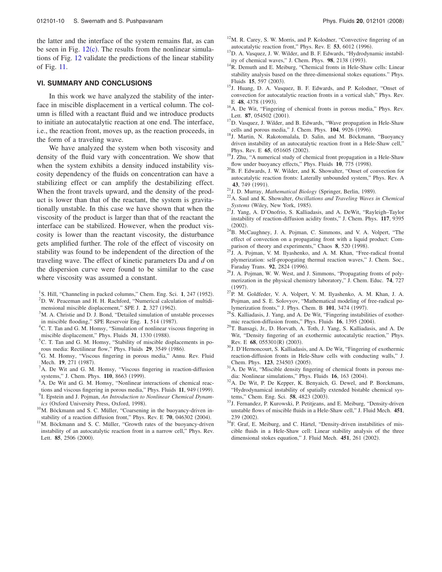the latter and the interface of the system remains flat, as can be seen in Fig.  $12(c)$ . The results from the nonlinear simulations of Fig. 12 validate the predictions of the linear stability of Fig. 11.

#### **VI. SUMMARY AND CONCLUSIONS**

In this work we have analyzed the stability of the interface in miscible displacement in a vertical column. The column is filled with a reactant fluid and we introduce products to initiate an autocatalytic reaction at one end. The interface, i.e., the reaction front, moves up, as the reaction proceeds, in the form of a traveling wave.

We have analyzed the system when both viscosity and density of the fluid vary with concentration. We show that when the system exhibits a density induced instability viscosity dependency of the fluids on concentration can have a stabilizing effect or can amplify the destabilizing effect. When the front travels upward, and the density of the product is lower than that of the reactant, the system is gravitationally unstable. In this case we have shown that when the viscosity of the product is larger than that of the reactant the interface can be stabilized. However, when the product viscosity is lower than the reactant viscosity, the disturbance gets amplified further. The role of the effect of viscosity on stability was found to be independent of the direction of the traveling wave. The effect of kinetic parameters Da and *d* on the dispersion curve were found to be similar to the case where viscosity was assumed a constant.

- <sup>1</sup>S. Hill, "Channeling in packed columns," Chem. Eng. Sci. 1, 247 (1952). <sup>2</sup>D. W. Peaceman and H. H. Rachford, "Numerical calculation of multidimensional miscible displacement," SPE J. 2, 327 (1962).
- <sup>3</sup>M. A. Christie and D. J. Bond, "Detailed simulation of unstable processes in miscible flooding," SPE Reservoir Eng. 1, 514 (1987).
- <sup>4</sup>C. T. Tan and G. M. Homsy, "Simulation of nonlinear viscous fingering in miscible displacement," Phys. Fluids 31, 1330 (1988).
- <sup>5</sup>C. T. Tan and G. M. Homsy, "Stability of miscible displacements in porous media: Rectilinear flow," Phys. Fluids 29, 3549 (1986).
- <sup>6</sup>G. M. Homsy, "Viscous fingering in porous media," Annu. Rev. Fluid Mech. 19, 271 (1987).
- ${}^{7}$ A. De Wit and G. M. Homsy, "Viscous fingering in reaction-diffusion systems," J. Chem. Phys. 110, 8663 (1999).
- <sup>8</sup>A. De Wit and G. M. Homsy, "Nonlinear interactions of chemical reactions and viscous fingering in porous media," Phys. Fluids 11, 949 (1999). 9 I. Epstein and J. Pojman, *An Introduction to Nonlinear Chemical Dynam-*
- ics (Oxford University Press, Oxford, 1998). <sup>10</sup>M. Böckmann and S. C. Müller, "Coarsening in the buoyancy-driven in-
- stability of a reaction diffusion front," Phys. Rev. E 70, 046302 (2004). <sup>11</sup>M. Böckmann and S. C. Müller, "Growth rates of the buoyancy-driven
- instability of an autocatalytic reaction front in a narrow cell," Phys. Rev. Lett. **85**, 2506 (2000).
- $12$ M. R. Carey, S. W. Morris, and P. Kolodner, "Convective fingering of an autocatalytic reaction front," Phys. Rev. E 53, 6012 (1996).
- <sup>13</sup>D. A. Vasquez, J. W. Wilder, and B. F. Edwards, "Hydrodynamic instability of chemical waves," J. Chem. Phys. 98, 2138 (1993).
- <sup>14</sup>R. Demuth and E. Meiburg, "Chemical fronts in Hele-Shaw cells: Linear stability analysis based on the three-dimensional stokes equations." Phys. Fluids 15, 597 (2003).
- <sup>15</sup>J. Huang, D. A. Vasquez, B. F. Edwards, and P. Kolodner, "Onset of convection for autocatalytic reaction fronts in a vertical slab," Phys. Rev. E 48, 4378 (1993).
- <sup>16</sup>A. De Wit, "Fingering of chemical fronts in porous media," Phys. Rev. Lett. 87, 054502 (2001).
- <sup>17</sup>D. Vasquez, J. Wilder, and B. Edwards, "Wave propagation in Hele-Shaw cells and porous media," J. Chem. Phys. **104**, 9926 (1996).
- <sup>18</sup>J. Martin, N. Rakotomalala, D. Salin, and M. Böckmann, "Buoyancy driven instability of an autocatalytic reaction front in a Hele-Shaw cell," Phys. Rev. E 65, 051605 (2002).
- <sup>19</sup>J. Zhu, "A numerical study of chemical front propagation in a Hele-Shaw flow under buoyancy effects," Phys. Fluids 10, 775 (1998).
- <sup>20</sup>B. F. Edwards, J. W. Wilder, and K. Showalter, "Onset of convection for autocatalytic reaction fronts: Laterally unbounded system," Phys. Rev. A 43, 749 (1991).
- <sup>21</sup> J. D. Murray, *Mathematical Biology* (Springer, Berlin, 1989).
- <sup>22</sup>A. Saul and K. Showalter, *Oscillations and Traveling Waves in Chemical* Systems (Wiley, New York, 1985).
- <sup>23</sup>J. Yang, A. D'Onofrio, S. Kalliadasis, and A. DeWit, "Rayleigh–Taylor instability of reaction-diffusion acidity fronts," J. Chem. Phys. **117**, 9395  $(2002).$
- <sup>24</sup>B. McCaughney, J. A. Pojman, C. Simmons, and V. A. Volpert, "The effect of convection on a propagating front with a liquid product: Comparison of theory and experiments," Chaos 8, 520 (1998).
- $25\text{ J}$ . A. Pojman, V. M. Ilyashenko, and A. M. Khan, "Free-radical frontal plymerization: self-propogating thermal reaction waves," J. Chem. Soc., Faraday Trans. 92, 2824 (1996).
- <sup>26</sup>J. A. Pojman, W. W. West, and J. Simmons, "Propagating fronts of polymerization in the physical chemistry laboratory," J. Chem. Educ. **74**, 727  $(1997).$
- $27P$ . M. Goldfeder, V. A. Volpert, V. M. Ilyashenko, A. M. Khan, J. A. Pojman, and S. E. Solovyov, "Mathematical modeling of free-radical polymerization fronts," J. Phys. Chem. B 101, 3474 (1997).
- <sup>28</sup>S. Kalliadasis, J. Yang, and A. De Wit, "Fingering instabilities of exothermic reaction-diffusion fronts," Phys. Fluids 16, 1395 (2004).
- <sup>29</sup>T. Bansagi, Jr., D. Horvath, A. Toth, J. Yang, S. Kalliadasis, and A. De Wit, "Density fingering of an exothermic autocatalytic reaction," Phys. Rev. E 68, 055301(R) (2003).
- <sup>30</sup>J. D'Hernoncourt, S. Kalliadasis, and A. De Wit, "Fingering of exothermic reaction-diffusion fronts in Hele-Shaw cells with conducting walls," J. Chem. Phys. 123, 234503 (2005).
- <sup>31</sup>A. De Wit, "Miscible density fingering of chemical fronts in porous media: Nonlinear simulations," Phys. Fluids 16, 163 (2004).
- <sup>32</sup>A. De Wit, P. De Kepper, K. Benyaich, G. Dewel, and P. Borckmans, "Hydrodynamical instability of spatially extended bistable chemical systems," Chem. Eng. Sci. 58, 4823 (2003).
- <sup>33</sup>J. Fernandez, P. Kurowski, P. Petitjeans, and E. Meiburg, "Density-driven unstable flows of miscible fluids in a Hele-Shaw cell," J. Fluid Mech. **451**, 239 (2002).
- <sup>34</sup>F. Graf, E. Meiburg, and C. Härtel, "Density-driven instabilities of miscible fluids in a Hele-Shaw cell: Linear stability analysis of the three dimensional stokes equation," J. Fluid Mech. 451, 261 (2002).